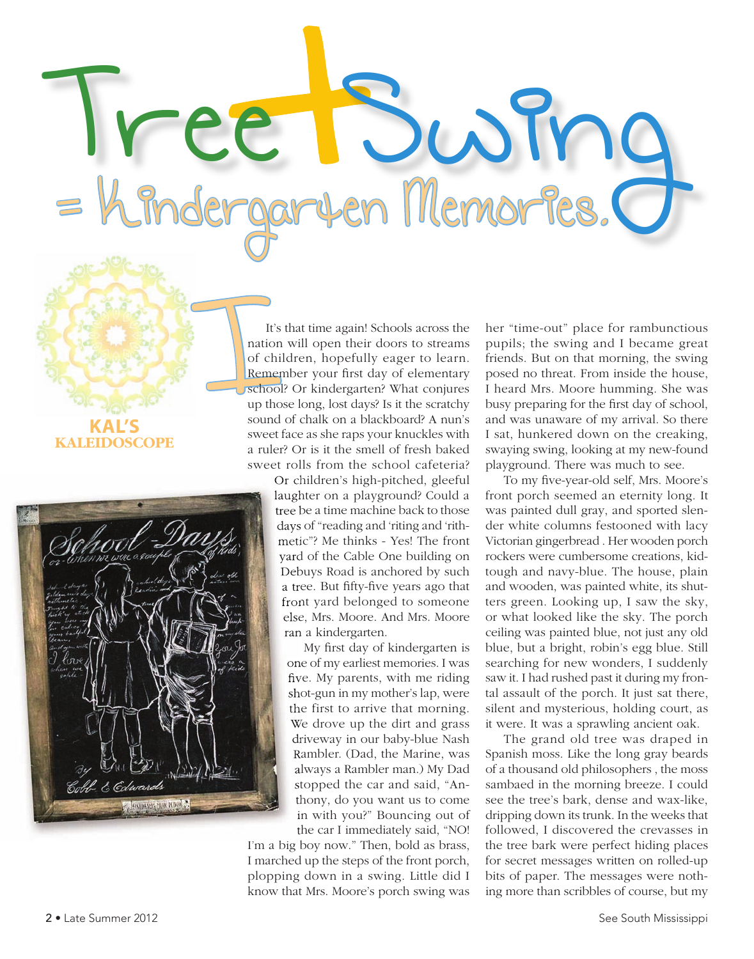**KAL'S KALEIDOSCOPE**



It's that time again! Schools across the<br>nation will open their doors to streams<br>of children, hopefully eager to learn.<br>Remember your first day of elementary<br>school? Or kindergarten? What conjures<br>up those long, lost days? nation will open their doors to streams of children, hopefully eager to learn. Remember your first day of elementary **Uschool?** Or kindergarten? What conjures up those long, lost days? Is it the scratchy sound of chalk on a blackboard? A nun's sweet face as she raps your knuckles with a ruler? Or is it the smell of fresh baked sweet rolls from the school cafeteria?

Tree Swing

Or children's high-pitched, gleeful laughter on a playground? Could a tree be a time machine back to those days of "reading and 'riting and 'rithmetic"? Me thinks - Yes! The front yard of the Cable One building on Debuys Road is anchored by such a tree. But fifty-five years ago that front yard belonged to someone else, Mrs. Moore. And Mrs. Moore ran a kindergarten.

My first day of kindergarten is one of my earliest memories. I was five. My parents, with me riding shot-gun in my mother's lap, were the first to arrive that morning. We drove up the dirt and grass driveway in our baby-blue Nash Rambler. (Dad, the Marine, was always a Rambler man.) My Dad stopped the car and said, "Anthony, do you want us to come in with you?" Bouncing out of the car I immediately said, "NO!

I'm a big boy now." Then, bold as brass, I marched up the steps of the front porch, plopping down in a swing. Little did I know that Mrs. Moore's porch swing was her "time-out" place for rambunctious pupils; the swing and I became great friends. But on that morning, the swing posed no threat. From inside the house, I heard Mrs. Moore humming. She was busy preparing for the first day of school, and was unaware of my arrival. So there I sat, hunkered down on the creaking, swaying swing, looking at my new-found playground. There was much to see.

To my five-year-old self, Mrs. Moore's front porch seemed an eternity long. It was painted dull gray, and sported slender white columns festooned with lacy Victorian gingerbread . Her wooden porch rockers were cumbersome creations, kidtough and navy-blue. The house, plain and wooden, was painted white, its shutters green. Looking up, I saw the sky, or what looked like the sky. The porch ceiling was painted blue, not just any old blue, but a bright, robin's egg blue. Still searching for new wonders, I suddenly saw it. I had rushed past it during my frontal assault of the porch. It just sat there, silent and mysterious, holding court, as it were. It was a sprawling ancient oak.

The grand old tree was draped in Spanish moss. Like the long gray beards of a thousand old philosophers , the moss sambaed in the morning breeze. I could see the tree's bark, dense and wax-like, dripping down its trunk. In the weeks that followed, I discovered the crevasses in the tree bark were perfect hiding places for secret messages written on rolled-up bits of paper. The messages were nothing more than scribbles of course, but my